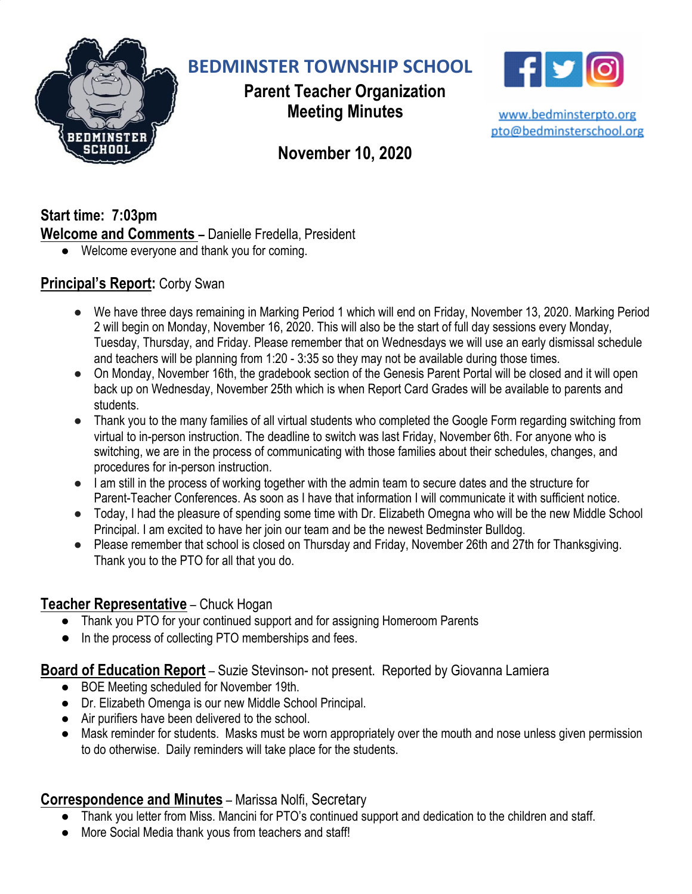

**BEDMINSTER TOWNSHIP SCHOOL**

**Parent Teacher Organization Meeting Minutes**



www.bedminsterpto.org pto@bedminsterschool.org

# **November 10, 2020**

**Start time: 7:03pm Welcome and Comments –** Danielle Fredella, President

● Welcome everyone and thank you for coming.

# **Principal's Report:** Corby Swan

- We have three days remaining in Marking Period 1 which will end on Friday, November 13, 2020. Marking Period 2 will begin on Monday, November 16, 2020. This will also be the start of full day sessions every Monday, Tuesday, Thursday, and Friday. Please remember that on Wednesdays we will use an early dismissal schedule and teachers will be planning from 1:20 - 3:35 so they may not be available during those times.
- On Monday, November 16th, the gradebook section of the Genesis Parent Portal will be closed and it will open back up on Wednesday, November 25th which is when Report Card Grades will be available to parents and students.
- Thank you to the many families of all virtual students who completed the Google Form regarding switching from virtual to in-person instruction. The deadline to switch was last Friday, November 6th. For anyone who is switching, we are in the process of communicating with those families about their schedules, changes, and procedures for in-person instruction.
- I am still in the process of working together with the admin team to secure dates and the structure for Parent-Teacher Conferences. As soon as I have that information I will communicate it with sufficient notice.
- Today, I had the pleasure of spending some time with Dr. Elizabeth Omegna who will be the new Middle School Principal. I am excited to have her join our team and be the newest Bedminster Bulldog.
- Please remember that school is closed on Thursday and Friday, November 26th and 27th for Thanksgiving. Thank you to the PTO for all that you do.

#### **Teacher Representative** – Chuck Hogan

- Thank you PTO for your continued support and for assigning Homeroom Parents
- In the process of collecting PTO memberships and fees.

#### **Board of Education Report** – Suzie Stevinson- not present. Reported by Giovanna Lamiera

- BOE Meeting scheduled for November 19th.
- Dr. Elizabeth Omenga is our new Middle School Principal.
- Air purifiers have been delivered to the school.
- Mask reminder for students. Masks must be worn appropriately over the mouth and nose unless given permission to do otherwise. Daily reminders will take place for the students.

# **Correspondence and Minutes** – Marissa Nolfi, Secretary

- Thank you letter from Miss. Mancini for PTO's continued support and dedication to the children and staff.
- More Social Media thank yous from teachers and staff!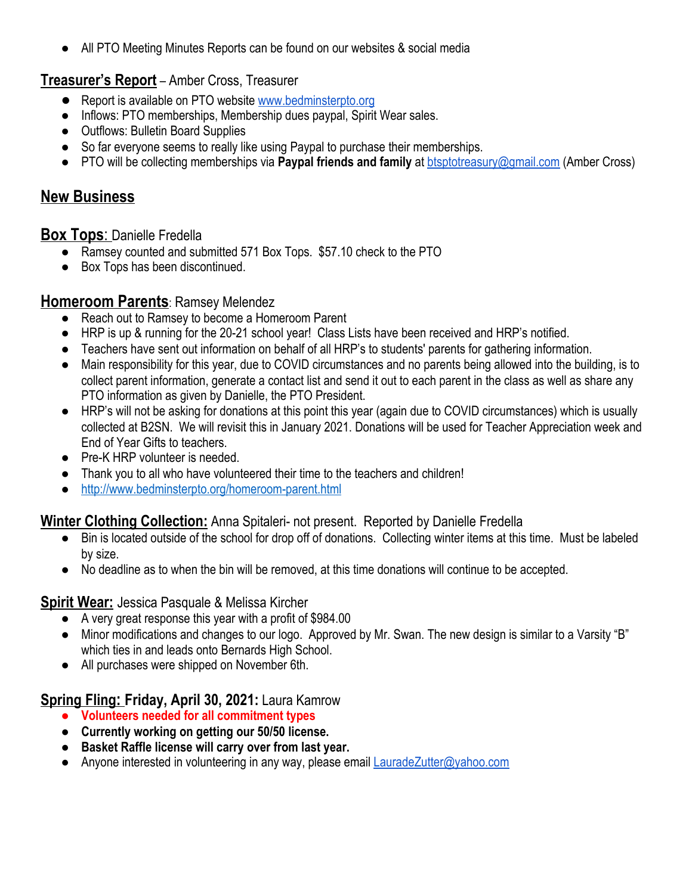● All PTO Meeting Minutes Reports can be found on our websites & social media

#### **Treasurer's Report** – Amber Cross, Treasurer

- Report is available on PTO website [www.bedminsterpto.org](http://www.bedminsterpto.org/)
- Inflows: PTO memberships, Membership dues paypal, Spirit Wear sales.
- Outflows: Bulletin Board Supplies
- So far everyone seems to really like using Paypal to purchase their memberships.
- PTO will be collecting memberships via **Paypal friends and family** at [btsptotreasury@gmail.com](mailto:btsptotreasury@gmail.com) (Amber Cross)

# **New Business**

#### **Box Tops**: Danielle Fredella

- Ramsey counted and submitted 571 Box Tops. \$57.10 check to the PTO
- Box Tops has been discontinued.

#### **Homeroom Parents**: Ramsey Melendez

- Reach out to Ramsey to become a Homeroom Parent
- HRP is up & running for the 20-21 school year! Class Lists have been received and HRP's notified.
- Teachers have sent out information on behalf of all HRP's to students' parents for gathering information.
- Main responsibility for this year, due to COVID circumstances and no parents being allowed into the building, is to collect parent information, generate a contact list and send it out to each parent in the class as well as share any PTO information as given by Danielle, the PTO President.
- HRP's will not be asking for donations at this point this year (again due to COVID circumstances) which is usually collected at B2SN. We will revisit this in January 2021. Donations will be used for Teacher Appreciation week and End of Year Gifts to teachers.
- Pre-K HRP volunteer is needed.
- Thank you to all who have volunteered their time to the teachers and children!
- <http://www.bedminsterpto.org/homeroom-parent.html>

#### **Winter Clothing Collection:** Anna Spitaleri- not present. Reported by Danielle Fredella

- Bin is located outside of the school for drop off of donations. Collecting winter items at this time. Must be labeled by size.
- No deadline as to when the bin will be removed, at this time donations will continue to be accepted.

#### **Spirit Wear:** Jessica Pasquale & Melissa Kircher

- A very great response this year with a profit of \$984.00
- Minor modifications and changes to our logo. Approved by Mr. Swan. The new design is similar to a Varsity "B" which ties in and leads onto Bernards High School.
- All purchases were shipped on November 6th.

#### **Spring Fling: Friday, April 30, 2021:** Laura Kamrow

- **● Volunteers needed for all commitment types**
- **● Currently working on getting our 50/50 license.**
- **● Basket Raffle license will carry over from last year.**
- Anyone interested in volunteering in any way, please email **[LauradeZutter@yahoo.com](mailto:LauradeZutter@yahoo.com)**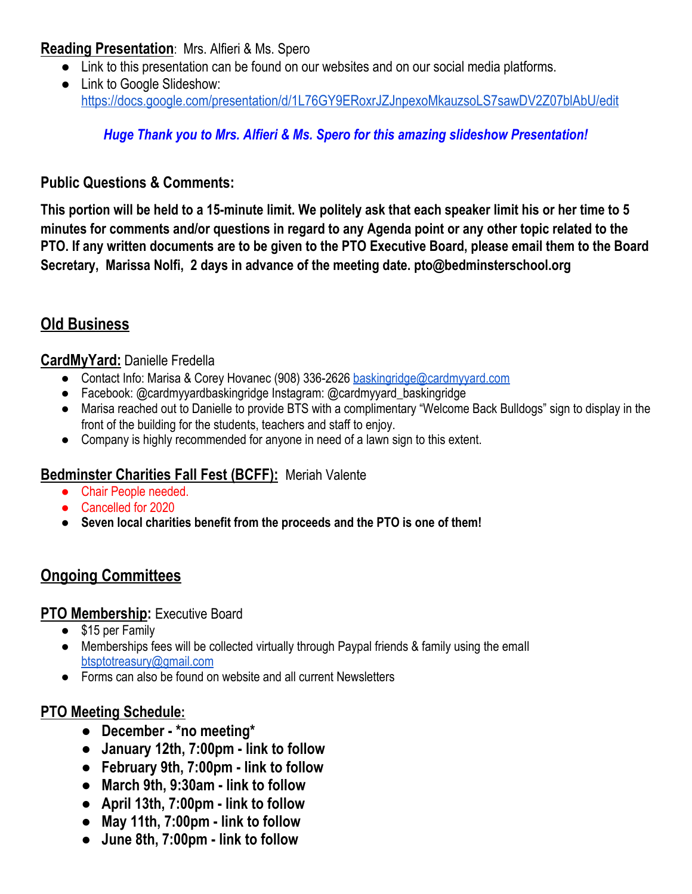#### **Reading Presentation**: Mrs. Alfieri & Ms. Spero

- Link to this presentation can be found on our websites and on our social media platforms.
- Link to Google Slideshow: <https://docs.google.com/presentation/d/1L76GY9ERoxrJZJnpexoMkauzsoLS7sawDV2Z07blAbU/edit>

### *Huge Thank you to Mrs. Alfieri & Ms. Spero for this amazing slideshow Presentation!*

#### **Public Questions & Comments:**

This portion will be held to a 15-minute limit. We politely ask that each speaker limit his or her time to 5 minutes for comments and/or questions in regard to any Agenda point or any other topic related to the PTO. If any written documents are to be given to the PTO Executive Board, please email them to the Board **Secretary, Marissa Nolfi, 2 days in advance of the meeting date. pto@bedminsterschool.org**

# **Old Business**

#### **CardMyYard:** Danielle Fredella

- Contact Info: Marisa & Corey Hovanec (908) 336-2626 [baskingridge@cardmyyard.com](mailto:baskingridge@cardmyyard.com)
- Facebook: @cardmyyardbaskingridge Instagram: @cardmyyard\_baskingridge
- Marisa reached out to Danielle to provide BTS with a complimentary "Welcome Back Bulldogs" sign to display in the front of the building for the students, teachers and staff to enjoy.
- Company is highly recommended for anyone in need of a lawn sign to this extent.

#### **Bedminster Charities Fall Fest (BCFF):** Meriah Valente

- Chair People needed.
- Cancelled for 2020
- **● Seven local charities benefit from the proceeds and the PTO is one of them!**

# **Ongoing Committees**

#### **PTO Membership:** Executive Board

- \$15 per Family
- Memberships fees will be collected virtually through Paypal friends & family using the emall [btsptotreasury@gmail.com](mailto:btsptotreasury@gmail.com)
- Forms can also be found on website and all current Newsletters

#### **PTO Meeting Schedule:**

- **● December - \*no meeting\***
- **● January 12th, 7:00pm - link to follow**
- **● February 9th, 7:00pm - link to follow**
- **● March 9th, 9:30am - link to follow**
- **● April 13th, 7:00pm - link to follow**
- **● May 11th, 7:00pm - link to follow**
- **● June 8th, 7:00pm - link to follow**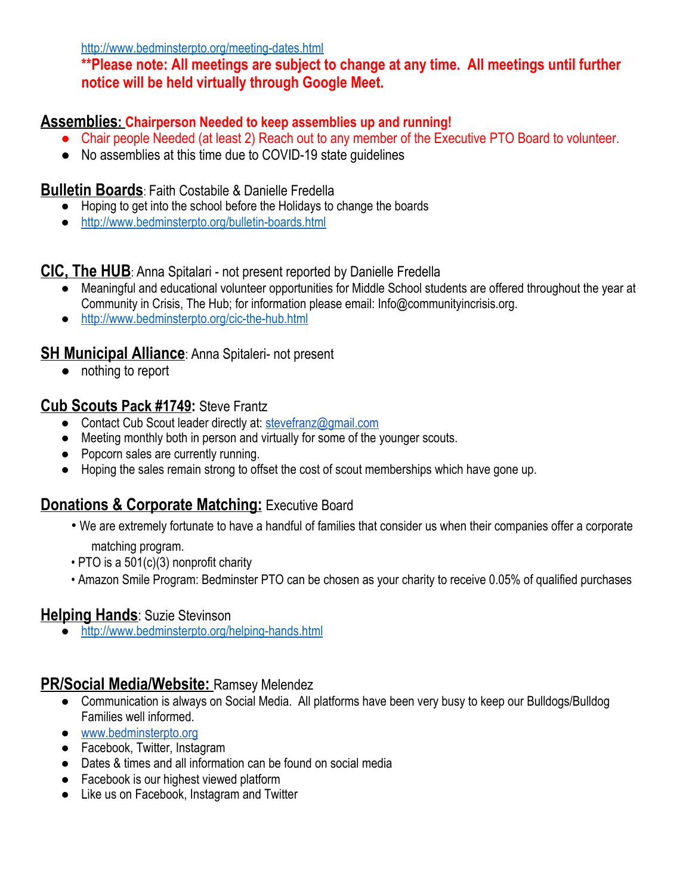<http://www.bedminsterpto.org/meeting-dates.html>

**\*\*Please note: All meetings are subject to change at any time. All meetings until further notice will be held virtually through Google Meet.**

### **Assemblies: Chairperson Needed to keep assemblies up and running!**

- Chair people Needed (at least 2) Reach out to any member of the Executive PTO Board to volunteer.
- No assemblies at this time due to COVID-19 state guidelines

#### **Bulletin Boards**: Faith Costabile & Danielle Fredella

- Hoping to get into the school before the Holidays to change the boards
- <http://www.bedminsterpto.org/bulletin-boards.html>

#### **CIC, The HUB**: Anna Spitalari - not present reported by Danielle Fredella

- Meaningful and educational volunteer opportunities for Middle School students are offered throughout the year at Community in Crisis, The Hub; for information please email: Info@communityincrisis.org.
- <http://www.bedminsterpto.org/cic-the-hub.html>

### **SH Municipal Alliance: Anna Spitaleri- not present**

● nothing to report

### **Cub Scouts Pack #1749:** Steve Frantz

- Contact Cub Scout leader directly at: [stevefranz@gmail.com](mailto:stevefranz@gmail.com)
- Meeting monthly both in person and virtually for some of the younger scouts.
- Popcorn sales are currently running.
- Hoping the sales remain strong to offset the cost of scout memberships which have gone up.

# **Donations & Corporate Matching: Executive Board**

- We are extremely fortunate to have a handful of families that consider us when their companies offer a corporate matching program.
- PTO is a 501(c)(3) nonprofit charity
- Amazon Smile Program: Bedminster PTO can be chosen as your charity to receive 0.05% of qualified purchases

#### **Helping Hands**: Suzie Stevinson

● <http://www.bedminsterpto.org/helping-hands.html>

#### **PR/Social Media/Website:** Ramsey Melendez

- Communication is always on Social Media. All platforms have been very busy to keep our Bulldogs/Bulldog Families well informed.
- [www.bedminsterpto.org](http://www.bedminsterpto.org/)
- Facebook, Twitter, Instagram
- Dates & times and all information can be found on social media
- Facebook is our highest viewed platform
- Like us on Facebook, Instagram and Twitter